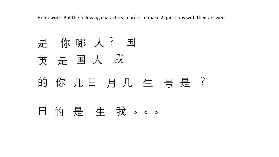Homework: Put the following characters in order to make 2 questions with their answers

是你哪人?国 是 国 人 我 英 国 人 的你几日月几生号是? 日的是生我。。。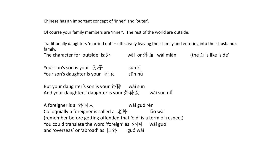Chinese has an important concept of 'inner' and 'outer'.

Of course your family members are 'inner'. The rest of the world are outside.

Traditionally daughters 'married out' – effectively leaving their family and entering into their husband's family.

The character for 'outside' is:外 wài or 外面 wài miàn (the面 is like 'side'

Your son's son is your  $\mathcal{D} \mathcal{F}$  sūn zǐ Your son's daughter is your  $\frac{1}{10}$   $\frac{1}{2}$  sūn nǚ

But your daughter's son is your 外孙 wài sūn And your daughters' daughter is your 外孙女 wài sūn nǚ

A foreigner is a 外国人 wài guó rén Colloquially a foreigner is called a  $\frac{1}{2}$ 外 lǎo wài (remember before getting offended that 'old' is a term of respect) You could translate the word 'foreign' as  $\frac{1}{N}$  wài guó and 'overseas' or 'abroad' as  $\mathbb{E} \mathfrak{H}$  guó wài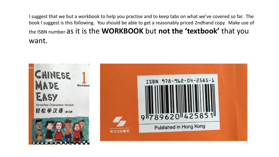I suggest that we but a workbook to help you practise and to keep tabs on what we've covered so far. The book I suggest is this following. You should be able to get a reasonably priced 2ndhand copy. Make use of the ISBN number as it is the **WORKBOOK** but **not the 'textbook'** that you want.